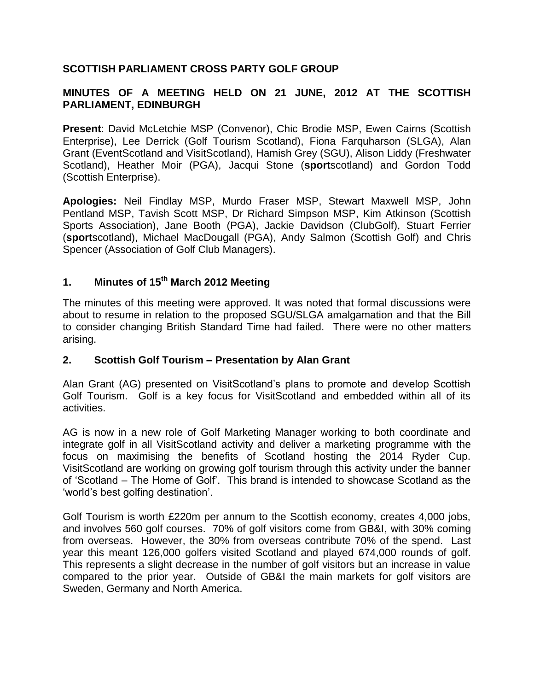## **SCOTTISH PARLIAMENT CROSS PARTY GOLF GROUP**

## **MINUTES OF A MEETING HELD ON 21 JUNE, 2012 AT THE SCOTTISH PARLIAMENT, EDINBURGH**

**Present**: David McLetchie MSP (Convenor), Chic Brodie MSP, Ewen Cairns (Scottish Enterprise), Lee Derrick (Golf Tourism Scotland), Fiona Farquharson (SLGA), Alan Grant (EventScotland and VisitScotland), Hamish Grey (SGU), Alison Liddy (Freshwater Scotland), Heather Moir (PGA), Jacqui Stone (**sport**scotland) and Gordon Todd (Scottish Enterprise).

**Apologies:** Neil Findlay MSP, Murdo Fraser MSP, Stewart Maxwell MSP, John Pentland MSP, Tavish Scott MSP, Dr Richard Simpson MSP, Kim Atkinson (Scottish Sports Association), Jane Booth (PGA), Jackie Davidson (ClubGolf), Stuart Ferrier (**sport**scotland), Michael MacDougall (PGA), Andy Salmon (Scottish Golf) and Chris Spencer (Association of Golf Club Managers).

## **1. Minutes of 15th March 2012 Meeting**

The minutes of this meeting were approved. It was noted that formal discussions were about to resume in relation to the proposed SGU/SLGA amalgamation and that the Bill to consider changing British Standard Time had failed. There were no other matters arising.

## **2. Scottish Golf Tourism – Presentation by Alan Grant**

Alan Grant (AG) presented on VisitScotland's plans to promote and develop Scottish Golf Tourism. Golf is a key focus for VisitScotland and embedded within all of its activities.

AG is now in a new role of Golf Marketing Manager working to both coordinate and integrate golf in all VisitScotland activity and deliver a marketing programme with the focus on maximising the benefits of Scotland hosting the 2014 Ryder Cup. VisitScotland are working on growing golf tourism through this activity under the banner of 'Scotland – The Home of Golf'. This brand is intended to showcase Scotland as the 'world's best golfing destination'.

Golf Tourism is worth £220m per annum to the Scottish economy, creates 4,000 jobs, and involves 560 golf courses. 70% of golf visitors come from GB&I, with 30% coming from overseas. However, the 30% from overseas contribute 70% of the spend. Last year this meant 126,000 golfers visited Scotland and played 674,000 rounds of golf. This represents a slight decrease in the number of golf visitors but an increase in value compared to the prior year. Outside of GB&I the main markets for golf visitors are Sweden, Germany and North America.